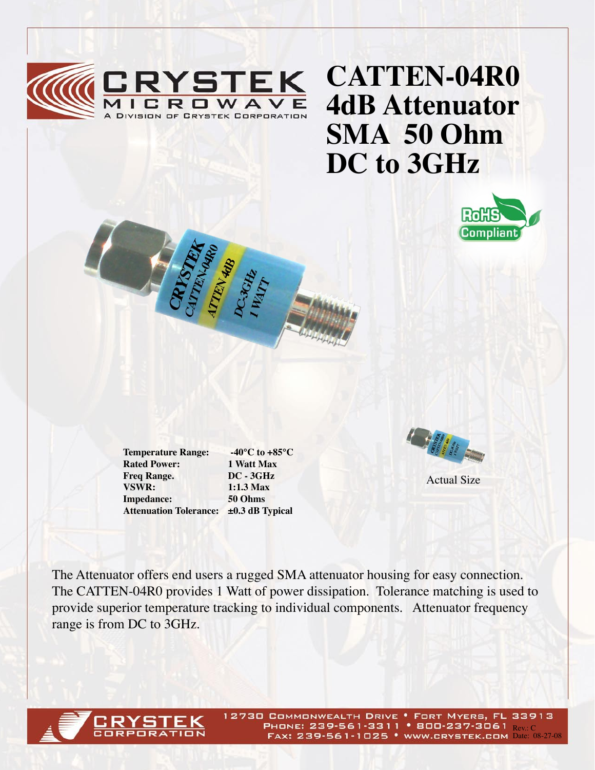

## **CATTEN-04R0 4dB Attenuator SMA 50 Ohm DC to 3GHz**



**Rated Power:** 1 Watt Max<br> **Freq Range.** DC - 3GHz **Freq Range. VSWR: 1:1.3 Max Impedance: 50 Ohms**

**Temperature Range: -40°C to +85°C Attenuation Tolerance: ±0.3 dB Typical**



Actual Size

The Attenuator offers end users a rugged SMA attenuator housing for easy connection. The CATTEN-04R0 provides 1 Watt of power dissipation. Tolerance matching is used to provide superior temperature tracking to individual components. Attenuator frequency range is from DC to 3GHz.



12730 COMMONWEALTH DRIVE . FORT MYERS, FL 33913 PHONE: 239-561-3311 • 800-237-3061  $_{\rm Rev.C}$ FAX: 239-561-1025 • WWW.CRYSTEK.COM Date: 08-27-08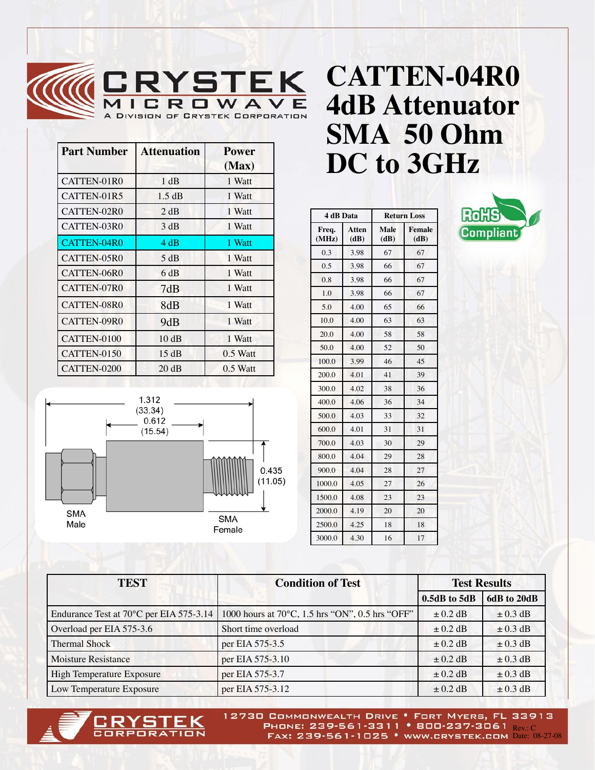

| <b>Part Number</b> | <b>Attenuation</b> | <b>Power</b><br>(Max) |
|--------------------|--------------------|-----------------------|
| CATTEN-01R0        | 1 dB               | 1 Watt                |
| CATTEN-01R5        | $1.5 \text{ dB}$   | 1 Watt                |
| CATTEN-02R0        | 2 dB               | 1 Watt                |
| CATTEN-03R0        | 3 dB               | 1 Watt                |
| CATTEN-04R0        | 4 dB               | 1 Watt                |
| CATTEN-05R0        | 5 dB               | 1 Watt                |
| CATTEN-06R0        | 6 dB               | 1 Watt                |
| CATTEN-07R0        | 7dB                | 1 Watt                |
| CATTEN-08R0        | 8dB                | 1 Watt                |
| CATTEN-09R0        | 9dB                | 1 Watt                |
| CATTEN-0100        | 10dB               | 1 Watt                |
| CATTEN-0150        | 15 dB              | $0.5$ Watt            |
| CATTEN-0200        | 20 dB              | $0.5$ Watt            |



| 4 dB Data      |               |                     | <b>Return Loss</b>    | Ro  |
|----------------|---------------|---------------------|-----------------------|-----|
| Freq.<br>(MHz) | Atten<br>(dB) | <b>Male</b><br>(dB) | <b>Female</b><br>(dB) | Cor |
| 0.3            | 3.98          | 67                  | 67                    |     |
| 0.5            | 3.98          | 66                  | 67                    |     |
| 0.8            | 3.98          | 66                  | 67                    |     |
| 1.0            | 3.98          | 66                  | 67                    |     |
| 5.0            | 4.00          | 65                  | 66                    |     |
| 10.0           | 4.00          | 63                  | 63                    |     |
| 20.0           | 4.00          | 58                  | 58                    |     |
| 50.0           | 4.00          | 52                  | 50                    |     |
| 100.0          | 3.99          | 46                  | 45                    |     |

200.0 4.01 41 39 300.0 4.02 38 36 400.0 4.06 36 34 500.0 4.03 33 32 600.0 4.01 31 31 700.0 4.03 30 29 800.0 4.04 29 28 900.0 4.04 28 27 1000.0 4.05 27 26 1500.0 4.08 23 23 2000.0 4.19 20 20 2500.0 4.25 18 18 3000.0 4.30 16 17



| <b>TEST</b>                             | <b>Condition of Test</b>                                   | <b>Test Results</b> |              |
|-----------------------------------------|------------------------------------------------------------|---------------------|--------------|
|                                         |                                                            | $0.5dB$ to $5dB$    | 6dB to 20dB  |
| Endurance Test at 70°C per EIA 575-3.14 | 1000 hours at 70 $^{\circ}$ C, 1.5 hrs "ON", 0.5 hrs "OFF" | $\pm$ 0.2 dB        | $\pm$ 0.3 dB |
| Overload per EIA 575-3.6                | Short time overload                                        | $\pm$ 0.2 dB        | $\pm$ 0.3 dB |
| <b>Thermal Shock</b>                    | per EIA 575-3.5                                            | $\pm$ 0.2 dB        | $\pm$ 0.3 dB |
| <b>Moisture Resistance</b>              | per EIA 575-3.10                                           | $\pm$ 0.2 dB        | $\pm$ 0.3 dB |
| High Temperature Exposure               | per EIA 575-3.7                                            | $\pm$ 0.2 dB        | $\pm$ 0.3 dB |
| Low Temperature Exposure                | per EIA 575-3.12                                           | $\pm$ 0.2 dB        | $\pm$ 0.3 dB |



12730 COMMONWEALTH DRIVE . FORT MYERS, FL 33913 PHONE: 239-561-3311 • 800-237-3061 Rev. C FAX: 239-561-1025 • WWW.CRYSTEK.COM Date: 08-27-08